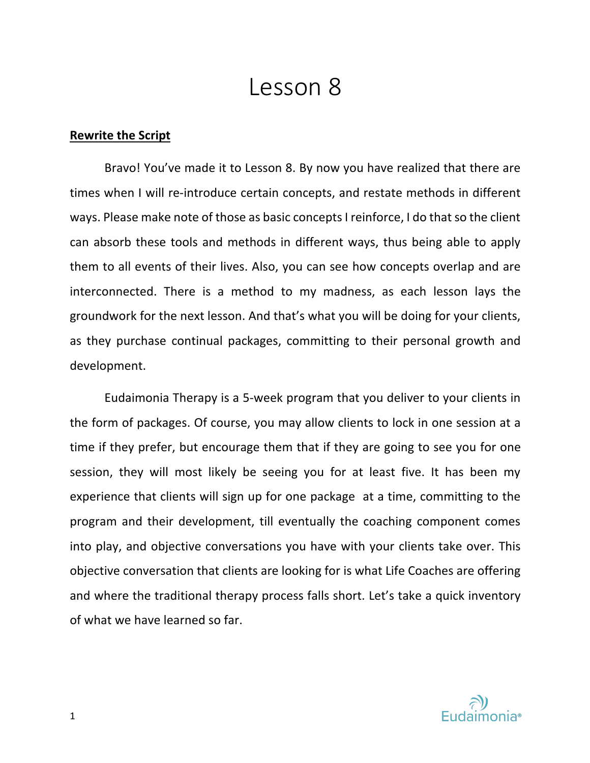# Lesson 8

# **Rewrite the Script**

Bravo! You've made it to Lesson 8. By now you have realized that there are times when I will re-introduce certain concepts, and restate methods in different ways. Please make note of those as basic concepts I reinforce, I do that so the client can absorb these tools and methods in different ways, thus being able to apply them to all events of their lives. Also, you can see how concepts overlap and are interconnected. There is a method to my madness, as each lesson lays the groundwork for the next lesson. And that's what you will be doing for your clients, as they purchase continual packages, committing to their personal growth and development.

Eudaimonia Therapy is a 5-week program that you deliver to your clients in the form of packages. Of course, you may allow clients to lock in one session at a time if they prefer, but encourage them that if they are going to see you for one session, they will most likely be seeing you for at least five. It has been my experience that clients will sign up for one package at a time, committing to the program and their development, till eventually the coaching component comes into play, and objective conversations you have with your clients take over. This objective conversation that clients are looking for is what Life Coaches are offering and where the traditional therapy process falls short. Let's take a quick inventory of what we have learned so far.

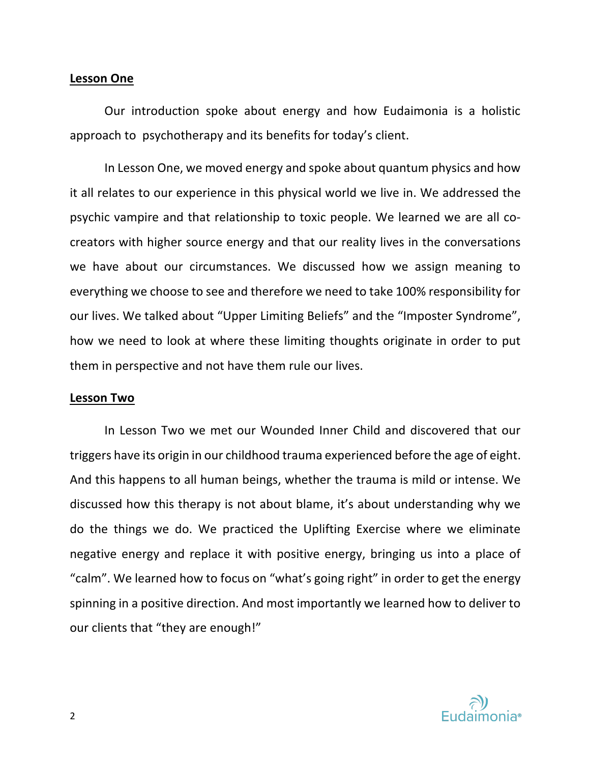# **Lesson One**

Our introduction spoke about energy and how Eudaimonia is a holistic approach to psychotherapy and its benefits for today's client.

In Lesson One, we moved energy and spoke about quantum physics and how it all relates to our experience in this physical world we live in. We addressed the psychic vampire and that relationship to toxic people. We learned we are all cocreators with higher source energy and that our reality lives in the conversations we have about our circumstances. We discussed how we assign meaning to everything we choose to see and therefore we need to take 100% responsibility for our lives. We talked about "Upper Limiting Beliefs" and the "Imposter Syndrome", how we need to look at where these limiting thoughts originate in order to put them in perspective and not have them rule our lives.

## **Lesson Two**

In Lesson Two we met our Wounded Inner Child and discovered that our triggers have its origin in our childhood trauma experienced before the age of eight. And this happens to all human beings, whether the trauma is mild or intense. We discussed how this therapy is not about blame, it's about understanding why we do the things we do. We practiced the Uplifting Exercise where we eliminate negative energy and replace it with positive energy, bringing us into a place of "calm". We learned how to focus on "what's going right" in order to get the energy spinning in a positive direction. And most importantly we learned how to deliver to our clients that "they are enough!"

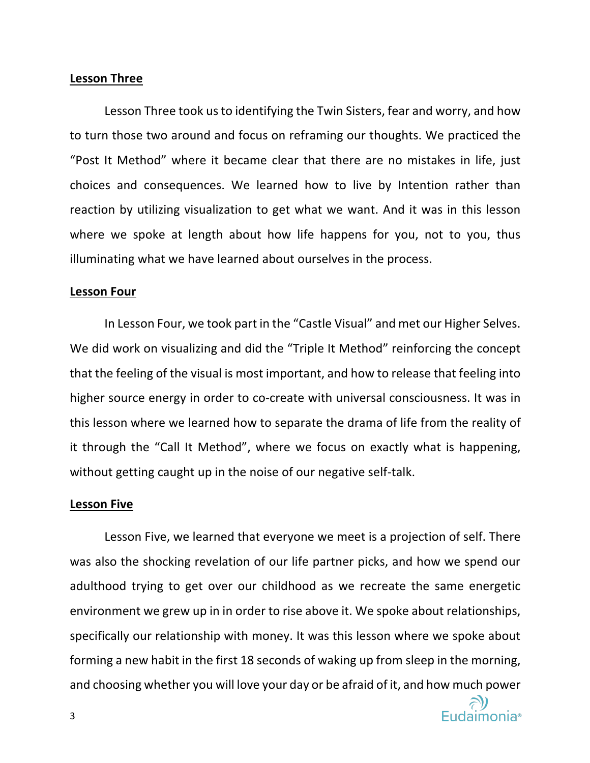# **Lesson Three**

Lesson Three took us to identifying the Twin Sisters, fear and worry, and how to turn those two around and focus on reframing our thoughts. We practiced the "Post It Method" where it became clear that there are no mistakes in life, just choices and consequences. We learned how to live by Intention rather than reaction by utilizing visualization to get what we want. And it was in this lesson where we spoke at length about how life happens for you, not to you, thus illuminating what we have learned about ourselves in the process.

#### **Lesson Four**

In Lesson Four, we took part in the "Castle Visual" and met our Higher Selves. We did work on visualizing and did the "Triple It Method" reinforcing the concept that the feeling of the visual is most important, and how to release that feeling into higher source energy in order to co-create with universal consciousness. It was in this lesson where we learned how to separate the drama of life from the reality of it through the "Call It Method", where we focus on exactly what is happening, without getting caught up in the noise of our negative self-talk.

### **Lesson Five**

Lesson Five, we learned that everyone we meet is a projection of self. There was also the shocking revelation of our life partner picks, and how we spend our adulthood trying to get over our childhood as we recreate the same energetic environment we grew up in in order to rise above it. We spoke about relationships, specifically our relationship with money. It was this lesson where we spoke about forming a new habit in the first 18 seconds of waking up from sleep in the morning, and choosing whether you will love your day or be afraid of it, and how much power

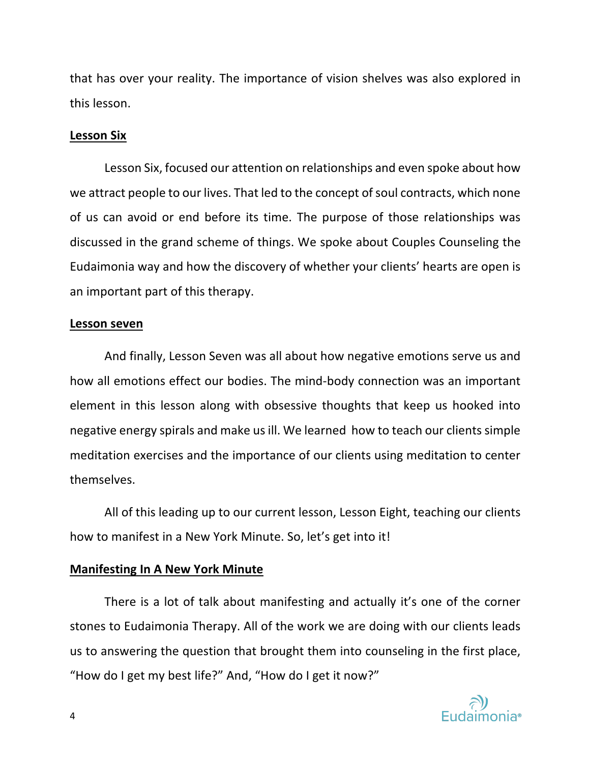that has over your reality. The importance of vision shelves was also explored in this lesson.

# **Lesson Six**

Lesson Six, focused our attention on relationships and even spoke about how we attract people to our lives. That led to the concept of soul contracts, which none of us can avoid or end before its time. The purpose of those relationships was discussed in the grand scheme of things. We spoke about Couples Counseling the Eudaimonia way and how the discovery of whether your clients' hearts are open is an important part of this therapy.

## **Lesson seven**

And finally, Lesson Seven was all about how negative emotions serve us and how all emotions effect our bodies. The mind-body connection was an important element in this lesson along with obsessive thoughts that keep us hooked into negative energy spirals and make us ill. We learned how to teach our clients simple meditation exercises and the importance of our clients using meditation to center themselves.

All of this leading up to our current lesson, Lesson Eight, teaching our clients how to manifest in a New York Minute. So, let's get into it!

# **Manifesting In A New York Minute**

There is a lot of talk about manifesting and actually it's one of the corner stones to Eudaimonia Therapy. All of the work we are doing with our clients leads us to answering the question that brought them into counseling in the first place, "How do I get my best life?" And, "How do I get it now?"

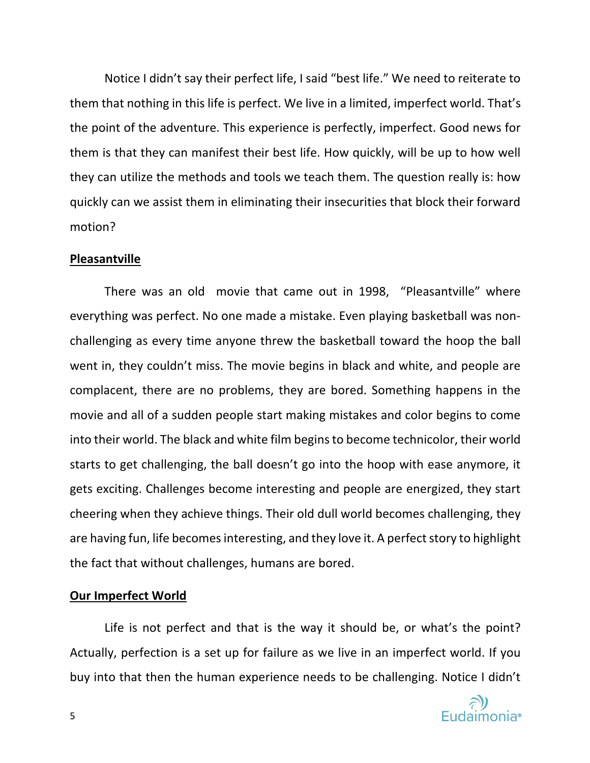Notice I didn't say their perfect life, I said "best life." We need to reiterate to them that nothing in this life is perfect. We live in a limited, imperfect world. That's the point of the adventure. This experience is perfectly, imperfect. Good news for them is that they can manifest their best life. How quickly, will be up to how well they can utilize the methods and tools we teach them. The question really is: how quickly can we assist them in eliminating their insecurities that block their forward motion?

## **Pleasantville**

There was an old movie that came out in 1998, "Pleasantville" where everything was perfect. No one made a mistake. Even playing basketball was nonchallenging as every time anyone threw the basketball toward the hoop the ball went in, they couldn't miss. The movie begins in black and white, and people are complacent, there are no problems, they are bored. Something happens in the movie and all of a sudden people start making mistakes and color begins to come into their world. The black and white film begins to become technicolor, their world starts to get challenging, the ball doesn't go into the hoop with ease anymore, it gets exciting. Challenges become interesting and people are energized, they start cheering when they achieve things. Their old dull world becomes challenging, they are having fun, life becomes interesting, and they love it. A perfect story to highlight the fact that without challenges, humans are bored.

# **Our Imperfect World**

Life is not perfect and that is the way it should be, or what's the point? Actually, perfection is a set up for failure as we live in an imperfect world. If you buy into that then the human experience needs to be challenging. Notice I didn't

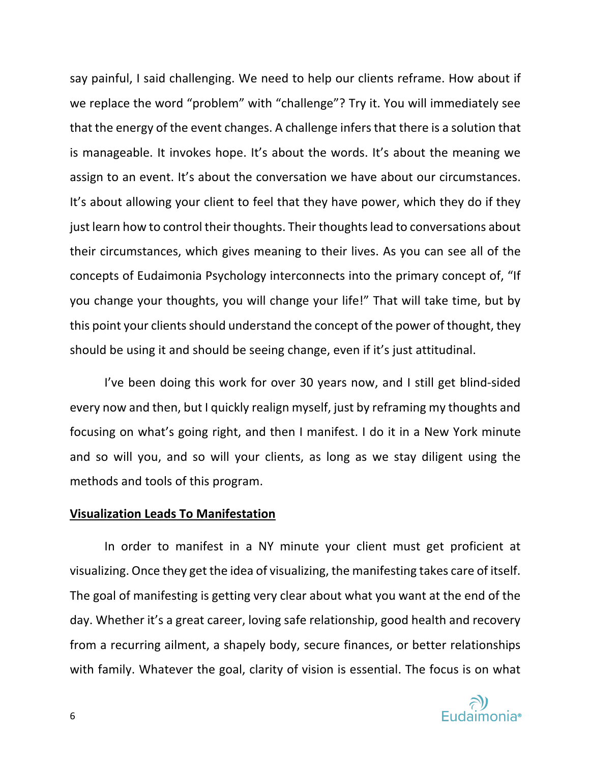say painful, I said challenging. We need to help our clients reframe. How about if we replace the word "problem" with "challenge"? Try it. You will immediately see that the energy of the event changes. A challenge infers that there is a solution that is manageable. It invokes hope. It's about the words. It's about the meaning we assign to an event. It's about the conversation we have about our circumstances. It's about allowing your client to feel that they have power, which they do if they just learn how to control their thoughts. Their thoughts lead to conversations about their circumstances, which gives meaning to their lives. As you can see all of the concepts of Eudaimonia Psychology interconnects into the primary concept of, "If you change your thoughts, you will change your life!" That will take time, but by this point your clients should understand the concept of the power of thought, they should be using it and should be seeing change, even if it's just attitudinal.

I've been doing this work for over 30 years now, and I still get blind-sided every now and then, but I quickly realign myself, just by reframing my thoughts and focusing on what's going right, and then I manifest. I do it in a New York minute and so will you, and so will your clients, as long as we stay diligent using the methods and tools of this program.

## **Visualization Leads To Manifestation**

In order to manifest in a NY minute your client must get proficient at visualizing. Once they get the idea of visualizing, the manifesting takes care of itself. The goal of manifesting is getting very clear about what you want at the end of the day. Whether it's a great career, loving safe relationship, good health and recovery from a recurring ailment, a shapely body, secure finances, or better relationships with family. Whatever the goal, clarity of vision is essential. The focus is on what

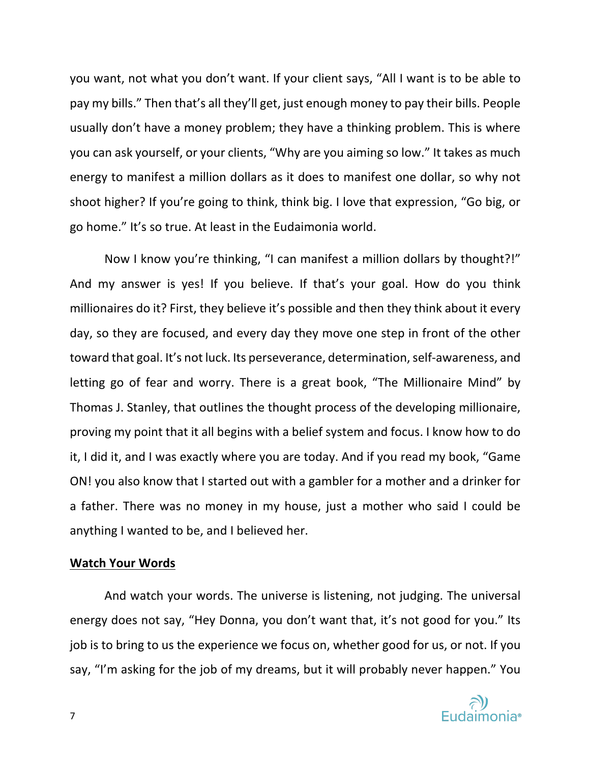you want, not what you don't want. If your client says, "All I want is to be able to pay my bills." Then that's all they'll get, just enough money to pay their bills. People usually don't have a money problem; they have a thinking problem. This is where you can ask yourself, or your clients, "Why are you aiming so low." It takes as much energy to manifest a million dollars as it does to manifest one dollar, so why not shoot higher? If you're going to think, think big. I love that expression, "Go big, or go home." It's so true. At least in the Eudaimonia world.

Now I know you're thinking, "I can manifest a million dollars by thought?!" And my answer is yes! If you believe. If that's your goal. How do you think millionaires do it? First, they believe it's possible and then they think about it every day, so they are focused, and every day they move one step in front of the other toward that goal. It's not luck. Its perseverance, determination, self-awareness, and letting go of fear and worry. There is a great book, "The Millionaire Mind" by Thomas J. Stanley, that outlines the thought process of the developing millionaire, proving my point that it all begins with a belief system and focus. I know how to do it, I did it, and I was exactly where you are today. And if you read my book, "Game ON! you also know that I started out with a gambler for a mother and a drinker for a father. There was no money in my house, just a mother who said I could be anything I wanted to be, and I believed her.

# **Watch Your Words**

And watch your words. The universe is listening, not judging. The universal energy does not say, "Hey Donna, you don't want that, it's not good for you." Its job is to bring to us the experience we focus on, whether good for us, or not. If you say, "I'm asking for the job of my dreams, but it will probably never happen." You

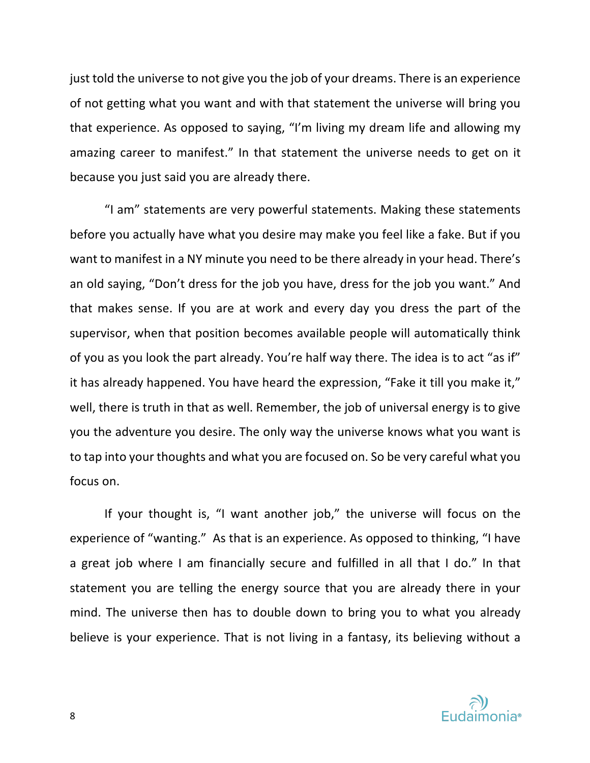just told the universe to not give you the job of your dreams. There is an experience of not getting what you want and with that statement the universe will bring you that experience. As opposed to saying, "I'm living my dream life and allowing my amazing career to manifest." In that statement the universe needs to get on it because you just said you are already there.

"I am" statements are very powerful statements. Making these statements before you actually have what you desire may make you feel like a fake. But if you want to manifest in a NY minute you need to be there already in your head. There's an old saying, "Don't dress for the job you have, dress for the job you want." And that makes sense. If you are at work and every day you dress the part of the supervisor, when that position becomes available people will automatically think of you as you look the part already. You're half way there. The idea is to act "as if" it has already happened. You have heard the expression, "Fake it till you make it," well, there is truth in that as well. Remember, the job of universal energy is to give you the adventure you desire. The only way the universe knows what you want is to tap into your thoughts and what you are focused on. So be very careful what you focus on.

If your thought is, "I want another job," the universe will focus on the experience of "wanting." As that is an experience. As opposed to thinking, "I have a great job where I am financially secure and fulfilled in all that I do." In that statement you are telling the energy source that you are already there in your mind. The universe then has to double down to bring you to what you already believe is your experience. That is not living in a fantasy, its believing without a



8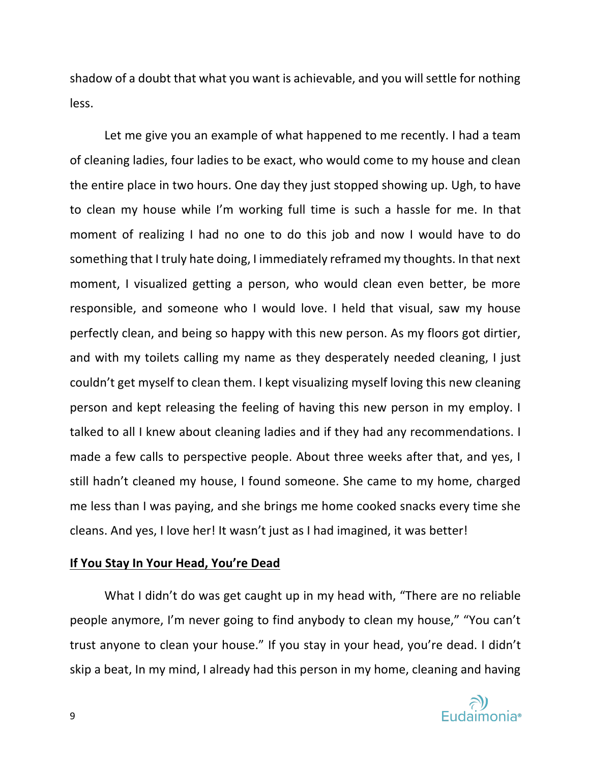shadow of a doubt that what you want is achievable, and you will settle for nothing less.

Let me give you an example of what happened to me recently. I had a team of cleaning ladies, four ladies to be exact, who would come to my house and clean the entire place in two hours. One day they just stopped showing up. Ugh, to have to clean my house while I'm working full time is such a hassle for me. In that moment of realizing I had no one to do this job and now I would have to do something that I truly hate doing, I immediately reframed my thoughts. In that next moment, I visualized getting a person, who would clean even better, be more responsible, and someone who I would love. I held that visual, saw my house perfectly clean, and being so happy with this new person. As my floors got dirtier, and with my toilets calling my name as they desperately needed cleaning, I just couldn't get myself to clean them. I kept visualizing myself loving this new cleaning person and kept releasing the feeling of having this new person in my employ. I talked to all I knew about cleaning ladies and if they had any recommendations. I made a few calls to perspective people. About three weeks after that, and yes, I still hadn't cleaned my house, I found someone. She came to my home, charged me less than I was paying, and she brings me home cooked snacks every time she cleans. And yes, I love her! It wasn't just as I had imagined, it was better!

# **If You Stay In Your Head, You're Dead**

What I didn't do was get caught up in my head with, "There are no reliable people anymore, I'm never going to find anybody to clean my house," "You can't trust anyone to clean your house." If you stay in your head, you're dead. I didn't skip a beat, In my mind, I already had this person in my home, cleaning and having

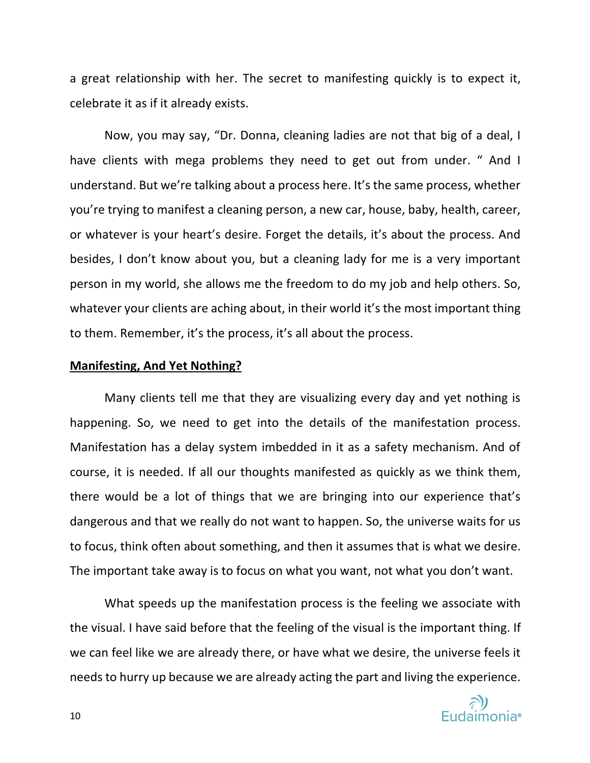a great relationship with her. The secret to manifesting quickly is to expect it, celebrate it as if it already exists.

Now, you may say, "Dr. Donna, cleaning ladies are not that big of a deal, I have clients with mega problems they need to get out from under. " And I understand. But we're talking about a process here. It's the same process, whether you're trying to manifest a cleaning person, a new car, house, baby, health, career, or whatever is your heart's desire. Forget the details, it's about the process. And besides, I don't know about you, but a cleaning lady for me is a very important person in my world, she allows me the freedom to do my job and help others. So, whatever your clients are aching about, in their world it's the most important thing to them. Remember, it's the process, it's all about the process.

# **Manifesting, And Yet Nothing?**

Many clients tell me that they are visualizing every day and yet nothing is happening. So, we need to get into the details of the manifestation process. Manifestation has a delay system imbedded in it as a safety mechanism. And of course, it is needed. If all our thoughts manifested as quickly as we think them, there would be a lot of things that we are bringing into our experience that's dangerous and that we really do not want to happen. So, the universe waits for us to focus, think often about something, and then it assumes that is what we desire. The important take away is to focus on what you want, not what you don't want.

What speeds up the manifestation process is the feeling we associate with the visual. I have said before that the feeling of the visual is the important thing. If we can feel like we are already there, or have what we desire, the universe feels it needs to hurry up because we are already acting the part and living the experience.

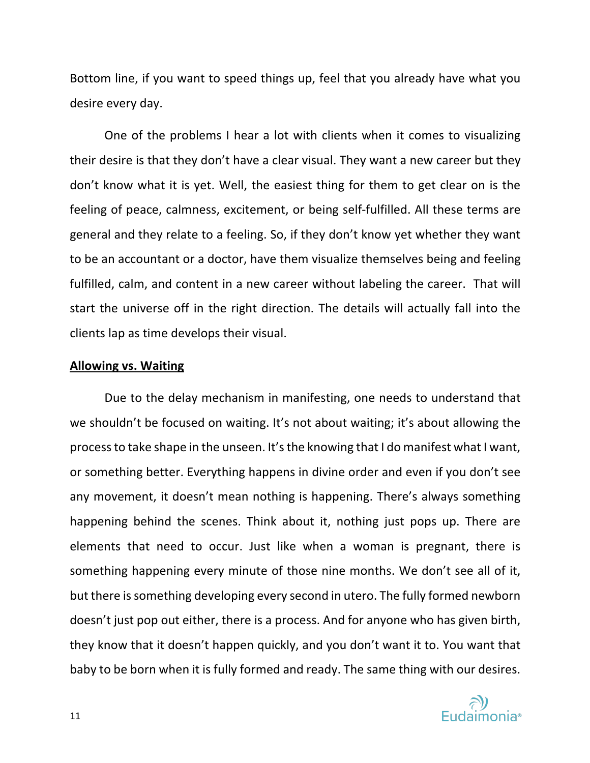Bottom line, if you want to speed things up, feel that you already have what you desire every day.

One of the problems I hear a lot with clients when it comes to visualizing their desire is that they don't have a clear visual. They want a new career but they don't know what it is yet. Well, the easiest thing for them to get clear on is the feeling of peace, calmness, excitement, or being self-fulfilled. All these terms are general and they relate to a feeling. So, if they don't know yet whether they want to be an accountant or a doctor, have them visualize themselves being and feeling fulfilled, calm, and content in a new career without labeling the career. That will start the universe off in the right direction. The details will actually fall into the clients lap as time develops their visual.

# **Allowing vs. Waiting**

Due to the delay mechanism in manifesting, one needs to understand that we shouldn't be focused on waiting. It's not about waiting; it's about allowing the process to take shape in the unseen. It's the knowing that I do manifest what I want, or something better. Everything happens in divine order and even if you don't see any movement, it doesn't mean nothing is happening. There's always something happening behind the scenes. Think about it, nothing just pops up. There are elements that need to occur. Just like when a woman is pregnant, there is something happening every minute of those nine months. We don't see all of it, but there is something developing every second in utero. The fully formed newborn doesn't just pop out either, there is a process. And for anyone who has given birth, they know that it doesn't happen quickly, and you don't want it to. You want that baby to be born when it is fully formed and ready. The same thing with our desires.

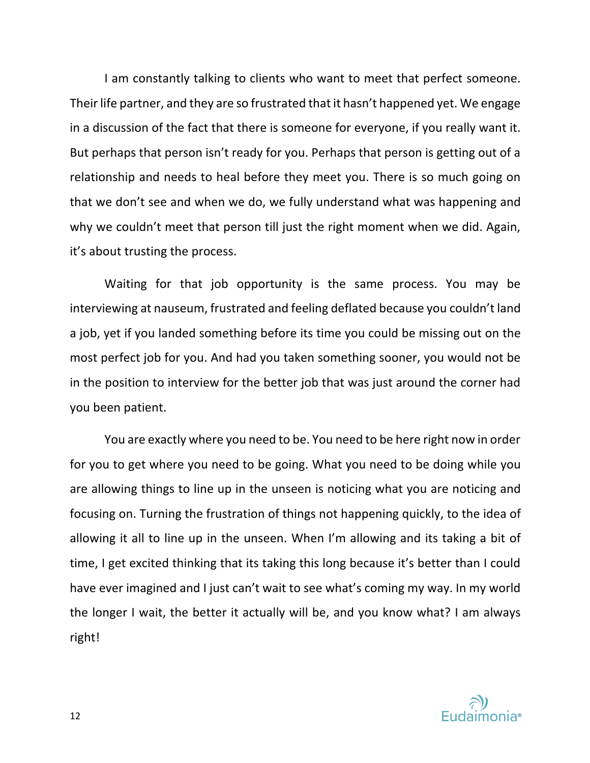I am constantly talking to clients who want to meet that perfect someone. Their life partner, and they are so frustrated that it hasn't happened yet. We engage in a discussion of the fact that there is someone for everyone, if you really want it. But perhaps that person isn't ready for you. Perhaps that person is getting out of a relationship and needs to heal before they meet you. There is so much going on that we don't see and when we do, we fully understand what was happening and why we couldn't meet that person till just the right moment when we did. Again, it's about trusting the process.

Waiting for that job opportunity is the same process. You may be interviewing at nauseum, frustrated and feeling deflated because you couldn't land a job, yet if you landed something before its time you could be missing out on the most perfect job for you. And had you taken something sooner, you would not be in the position to interview for the better job that was just around the corner had you been patient.

You are exactly where you need to be. You need to be here right now in order for you to get where you need to be going. What you need to be doing while you are allowing things to line up in the unseen is noticing what you are noticing and focusing on. Turning the frustration of things not happening quickly, to the idea of allowing it all to line up in the unseen. When I'm allowing and its taking a bit of time, I get excited thinking that its taking this long because it's better than I could have ever imagined and I just can't wait to see what's coming my way. In my world the longer I wait, the better it actually will be, and you know what? I am always right!

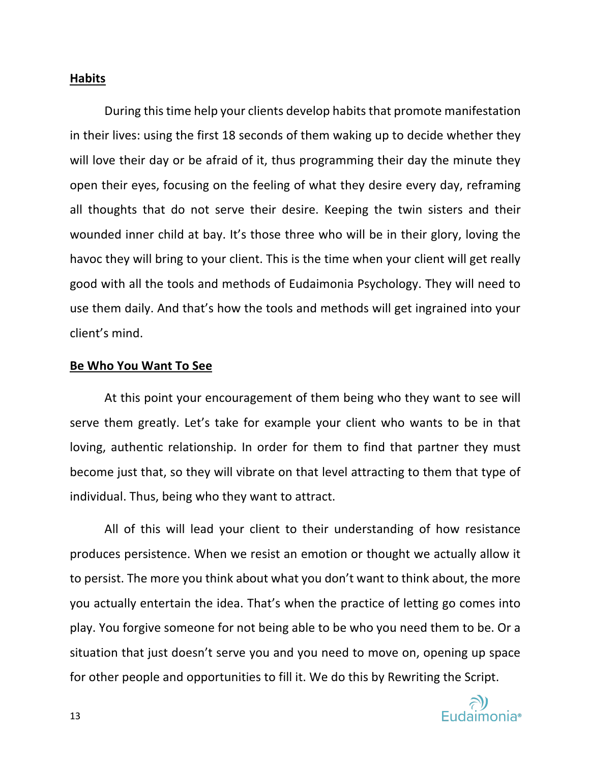# **Habits**

During this time help your clients develop habits that promote manifestation in their lives: using the first 18 seconds of them waking up to decide whether they will love their day or be afraid of it, thus programming their day the minute they open their eyes, focusing on the feeling of what they desire every day, reframing all thoughts that do not serve their desire. Keeping the twin sisters and their wounded inner child at bay. It's those three who will be in their glory, loving the havoc they will bring to your client. This is the time when your client will get really good with all the tools and methods of Eudaimonia Psychology. They will need to use them daily. And that's how the tools and methods will get ingrained into your client's mind.

# **Be Who You Want To See**

At this point your encouragement of them being who they want to see will serve them greatly. Let's take for example your client who wants to be in that loving, authentic relationship. In order for them to find that partner they must become just that, so they will vibrate on that level attracting to them that type of individual. Thus, being who they want to attract.

All of this will lead your client to their understanding of how resistance produces persistence. When we resist an emotion or thought we actually allow it to persist. The more you think about what you don't want to think about, the more you actually entertain the idea. That's when the practice of letting go comes into play. You forgive someone for not being able to be who you need them to be. Or a situation that just doesn't serve you and you need to move on, opening up space for other people and opportunities to fill it. We do this by Rewriting the Script.

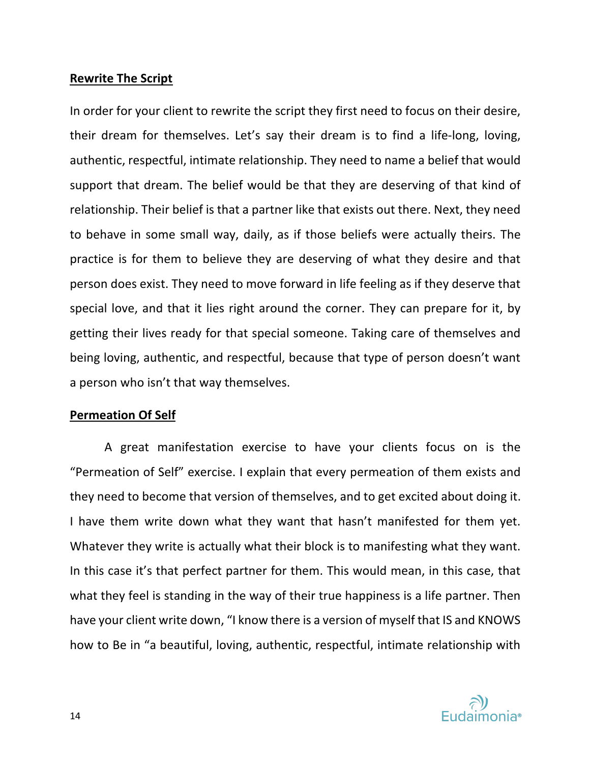# **Rewrite The Script**

In order for your client to rewrite the script they first need to focus on their desire, their dream for themselves. Let's say their dream is to find a life-long, loving, authentic, respectful, intimate relationship. They need to name a belief that would support that dream. The belief would be that they are deserving of that kind of relationship. Their belief is that a partner like that exists out there. Next, they need to behave in some small way, daily, as if those beliefs were actually theirs. The practice is for them to believe they are deserving of what they desire and that person does exist. They need to move forward in life feeling as if they deserve that special love, and that it lies right around the corner. They can prepare for it, by getting their lives ready for that special someone. Taking care of themselves and being loving, authentic, and respectful, because that type of person doesn't want a person who isn't that way themselves.

# **Permeation Of Self**

A great manifestation exercise to have your clients focus on is the "Permeation of Self" exercise. I explain that every permeation of them exists and they need to become that version of themselves, and to get excited about doing it. I have them write down what they want that hasn't manifested for them yet. Whatever they write is actually what their block is to manifesting what they want. In this case it's that perfect partner for them. This would mean, in this case, that what they feel is standing in the way of their true happiness is a life partner. Then have your client write down, "I know there is a version of myself that IS and KNOWS how to Be in "a beautiful, loving, authentic, respectful, intimate relationship with

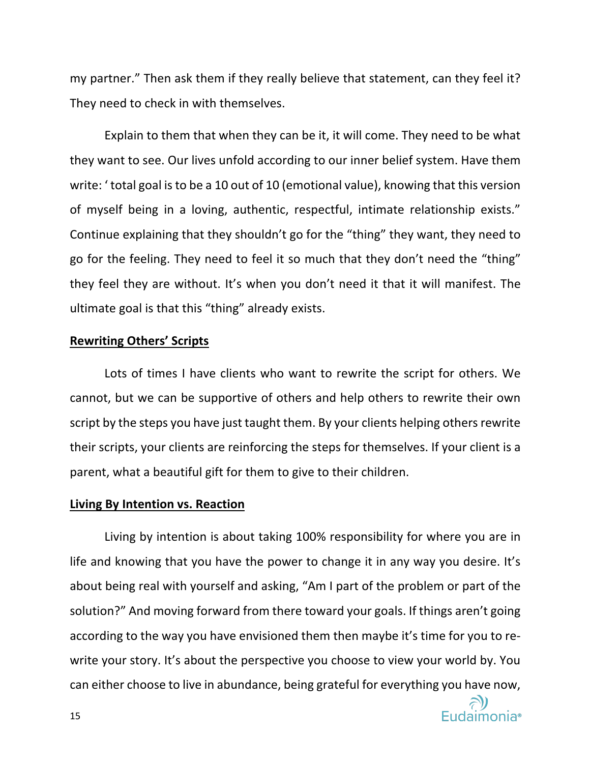my partner." Then ask them if they really believe that statement, can they feel it? They need to check in with themselves.

Explain to them that when they can be it, it will come. They need to be what they want to see. Our lives unfold according to our inner belief system. Have them write: ' total goal is to be a 10 out of 10 (emotional value), knowing that this version of myself being in a loving, authentic, respectful, intimate relationship exists." Continue explaining that they shouldn't go for the "thing" they want, they need to go for the feeling. They need to feel it so much that they don't need the "thing" they feel they are without. It's when you don't need it that it will manifest. The ultimate goal is that this "thing" already exists.

# **Rewriting Others' Scripts**

Lots of times I have clients who want to rewrite the script for others. We cannot, but we can be supportive of others and help others to rewrite their own script by the steps you have just taught them. By your clients helping others rewrite their scripts, your clients are reinforcing the steps for themselves. If your client is a parent, what a beautiful gift for them to give to their children.

### **Living By Intention vs. Reaction**

Living by intention is about taking 100% responsibility for where you are in life and knowing that you have the power to change it in any way you desire. It's about being real with yourself and asking, "Am I part of the problem or part of the solution?" And moving forward from there toward your goals. If things aren't going according to the way you have envisioned them then maybe it's time for you to rewrite your story. It's about the perspective you choose to view your world by. You can either choose to live in abundance, being grateful for everything you have now,

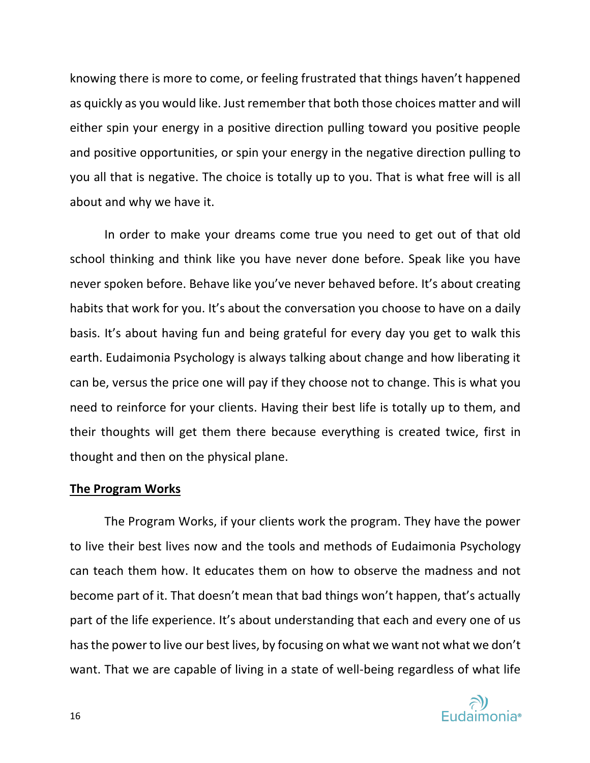knowing there is more to come, or feeling frustrated that things haven't happened as quickly as you would like. Just remember that both those choices matter and will either spin your energy in a positive direction pulling toward you positive people and positive opportunities, or spin your energy in the negative direction pulling to you all that is negative. The choice is totally up to you. That is what free will is all about and why we have it.

In order to make your dreams come true you need to get out of that old school thinking and think like you have never done before. Speak like you have never spoken before. Behave like you've never behaved before. It's about creating habits that work for you. It's about the conversation you choose to have on a daily basis. It's about having fun and being grateful for every day you get to walk this earth. Eudaimonia Psychology is always talking about change and how liberating it can be, versus the price one will pay if they choose not to change. This is what you need to reinforce for your clients. Having their best life is totally up to them, and their thoughts will get them there because everything is created twice, first in thought and then on the physical plane.

## **The Program Works**

The Program Works, if your clients work the program. They have the power to live their best lives now and the tools and methods of Eudaimonia Psychology can teach them how. It educates them on how to observe the madness and not become part of it. That doesn't mean that bad things won't happen, that's actually part of the life experience. It's about understanding that each and every one of us has the power to live our best lives, by focusing on what we want not what we don't want. That we are capable of living in a state of well-being regardless of what life